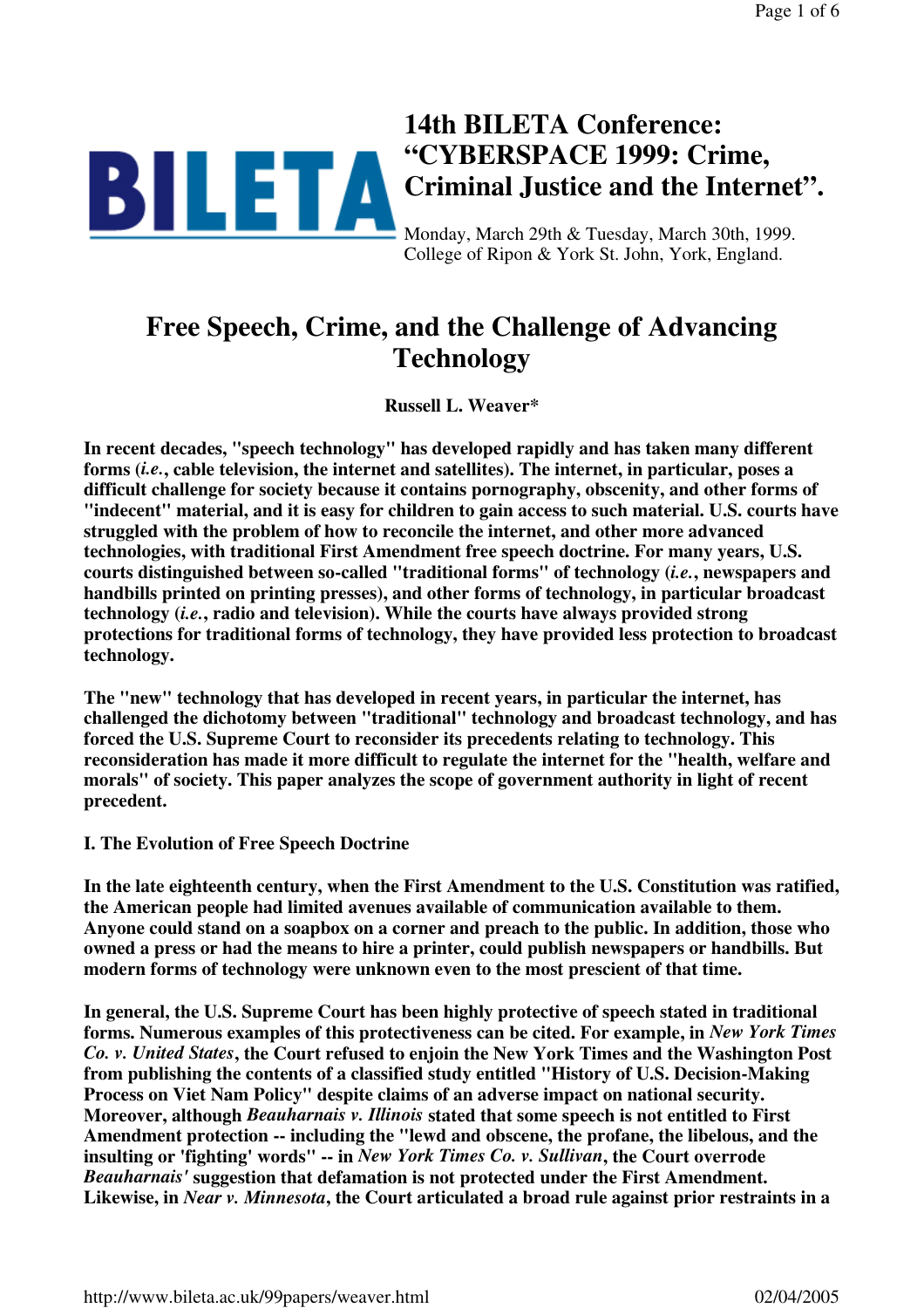

## 14th BILETA Conference:<br>
"CYBERSPACE 1999: Crime. **"CYBERSPACE 1999: Crime, Criminal Justice and the Internet".**

Monday, March 29th & Tuesday, March 30th, 1999. College of Ripon & York St. John, York, England.

## **Free Speech, Crime, and the Challenge of Advancing Technology**

**Russell L. Weaver\***

**In recent decades, "speech technology" has developed rapidly and has taken many different forms (***i.e.***, cable television, the internet and satellites). The internet, in particular, poses a difficult challenge for society because it contains pornography, obscenity, and other forms of "indecent" material, and it is easy for children to gain access to such material. U.S. courts have struggled with the problem of how to reconcile the internet, and other more advanced technologies, with traditional First Amendment free speech doctrine. For many years, U.S. courts distinguished between so-called "traditional forms" of technology (***i.e.***, newspapers and handbills printed on printing presses), and other forms of technology, in particular broadcast technology (***i.e.***, radio and television). While the courts have always provided strong protections for traditional forms of technology, they have provided less protection to broadcast technology.**

**The "new" technology that has developed in recent years, in particular the internet, has challenged the dichotomy between "traditional" technology and broadcast technology, and has forced the U.S. Supreme Court to reconsider its precedents relating to technology. This reconsideration has made it more difficult to regulate the internet for the "health, welfare and morals" of society. This paper analyzes the scope of government authority in light of recent precedent.**

**I. The Evolution of Free Speech Doctrine**

**In the late eighteenth century, when the First Amendment to the U.S. Constitution was ratified, the American people had limited avenues available of communication available to them. Anyone could stand on a soapbox on a corner and preach to the public. In addition, those who owned a press or had the means to hire a printer, could publish newspapers or handbills. But modern forms of technology were unknown even to the most prescient of that time.**

**In general, the U.S. Supreme Court has been highly protective of speech stated in traditional forms. Numerous examples of this protectiveness can be cited. For example, in** *New York Times Co. v. United States***, the Court refused to enjoin the New York Times and the Washington Post from publishing the contents of a classified study entitled "History of U.S. Decision-Making Process on Viet Nam Policy" despite claims of an adverse impact on national security. Moreover, although** *Beauharnais v. Illinois* **stated that some speech is not entitled to First Amendment protection -- including the "lewd and obscene, the profane, the libelous, and the insulting or 'fighting' words" -- in** *New York Times Co. v. Sullivan***, the Court overrode**  *Beauharnais'* **suggestion that defamation is not protected under the First Amendment. Likewise, in** *Near v. Minnesota***, the Court articulated a broad rule against prior restraints in a**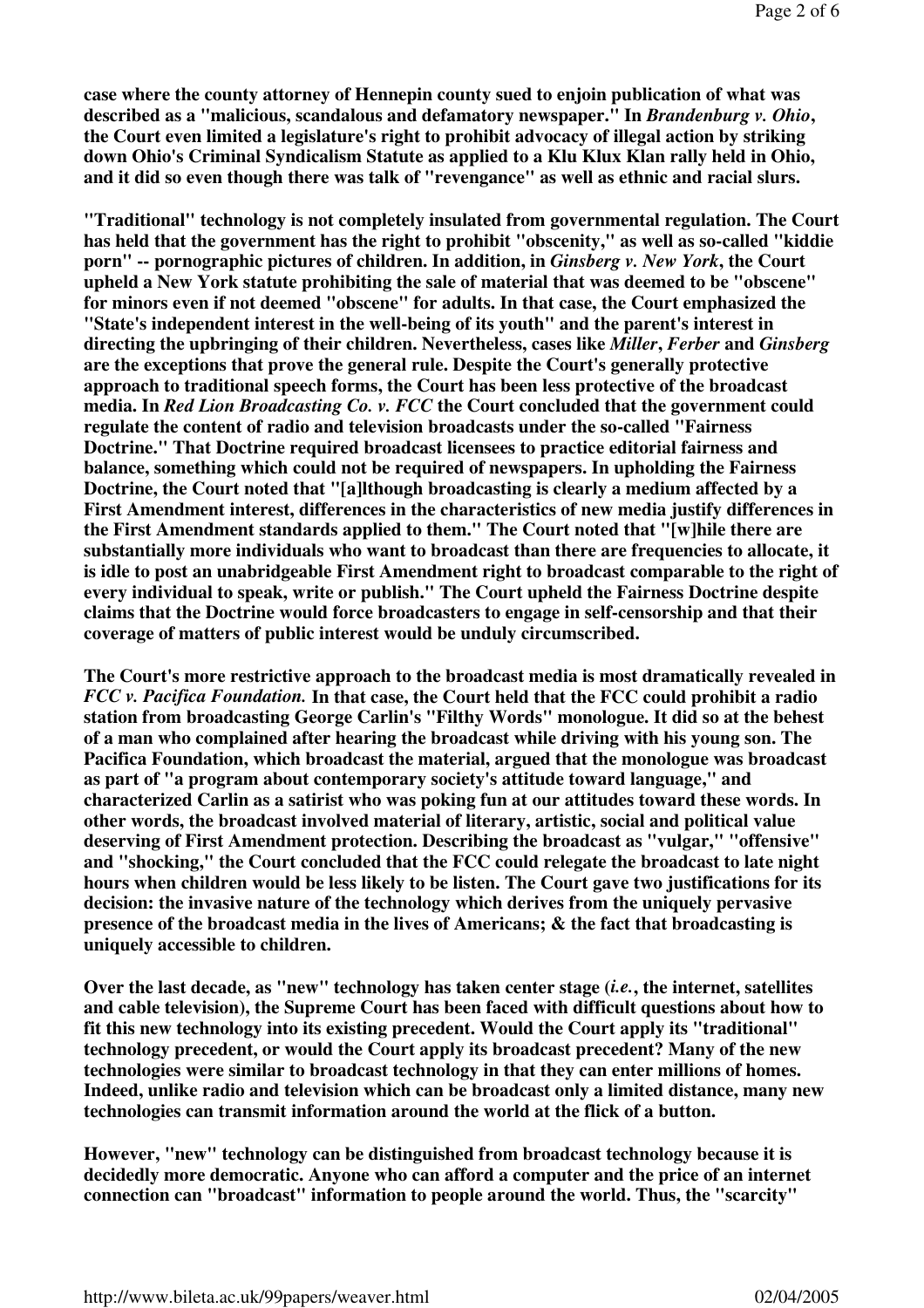**case where the county attorney of Hennepin county sued to enjoin publication of what was described as a "malicious, scandalous and defamatory newspaper." In** *Brandenburg v. Ohio***, the Court even limited a legislature's right to prohibit advocacy of illegal action by striking down Ohio's Criminal Syndicalism Statute as applied to a Klu Klux Klan rally held in Ohio, and it did so even though there was talk of "revengance" as well as ethnic and racial slurs.**

**"Traditional" technology is not completely insulated from governmental regulation. The Court has held that the government has the right to prohibit "obscenity," as well as so-called "kiddie porn" -- pornographic pictures of children. In addition, in** *Ginsberg v. New York***, the Court upheld a New York statute prohibiting the sale of material that was deemed to be "obscene" for minors even if not deemed "obscene" for adults. In that case, the Court emphasized the "State's independent interest in the well-being of its youth" and the parent's interest in directing the upbringing of their children. Nevertheless, cases like** *Miller***,** *Ferber* **and** *Ginsberg* **are the exceptions that prove the general rule. Despite the Court's generally protective approach to traditional speech forms, the Court has been less protective of the broadcast media. In** *Red Lion Broadcasting Co. v. FCC* **the Court concluded that the government could regulate the content of radio and television broadcasts under the so-called "Fairness Doctrine." That Doctrine required broadcast licensees to practice editorial fairness and balance, something which could not be required of newspapers. In upholding the Fairness Doctrine, the Court noted that "[a]lthough broadcasting is clearly a medium affected by a First Amendment interest, differences in the characteristics of new media justify differences in the First Amendment standards applied to them." The Court noted that "[w]hile there are substantially more individuals who want to broadcast than there are frequencies to allocate, it is idle to post an unabridgeable First Amendment right to broadcast comparable to the right of every individual to speak, write or publish." The Court upheld the Fairness Doctrine despite claims that the Doctrine would force broadcasters to engage in self-censorship and that their coverage of matters of public interest would be unduly circumscribed.**

**The Court's more restrictive approach to the broadcast media is most dramatically revealed in**  *FCC v. Pacifica Foundation.* **In that case, the Court held that the FCC could prohibit a radio station from broadcasting George Carlin's "Filthy Words" monologue. It did so at the behest of a man who complained after hearing the broadcast while driving with his young son. The Pacifica Foundation, which broadcast the material, argued that the monologue was broadcast as part of "a program about contemporary society's attitude toward language," and characterized Carlin as a satirist who was poking fun at our attitudes toward these words. In other words, the broadcast involved material of literary, artistic, social and political value deserving of First Amendment protection. Describing the broadcast as "vulgar," "offensive" and "shocking," the Court concluded that the FCC could relegate the broadcast to late night hours when children would be less likely to be listen. The Court gave two justifications for its decision: the invasive nature of the technology which derives from the uniquely pervasive presence of the broadcast media in the lives of Americans; & the fact that broadcasting is uniquely accessible to children.**

**Over the last decade, as "new" technology has taken center stage (***i.e.***, the internet, satellites and cable television), the Supreme Court has been faced with difficult questions about how to fit this new technology into its existing precedent. Would the Court apply its "traditional" technology precedent, or would the Court apply its broadcast precedent? Many of the new technologies were similar to broadcast technology in that they can enter millions of homes. Indeed, unlike radio and television which can be broadcast only a limited distance, many new technologies can transmit information around the world at the flick of a button.**

**However, "new" technology can be distinguished from broadcast technology because it is decidedly more democratic. Anyone who can afford a computer and the price of an internet connection can "broadcast" information to people around the world. Thus, the "scarcity"**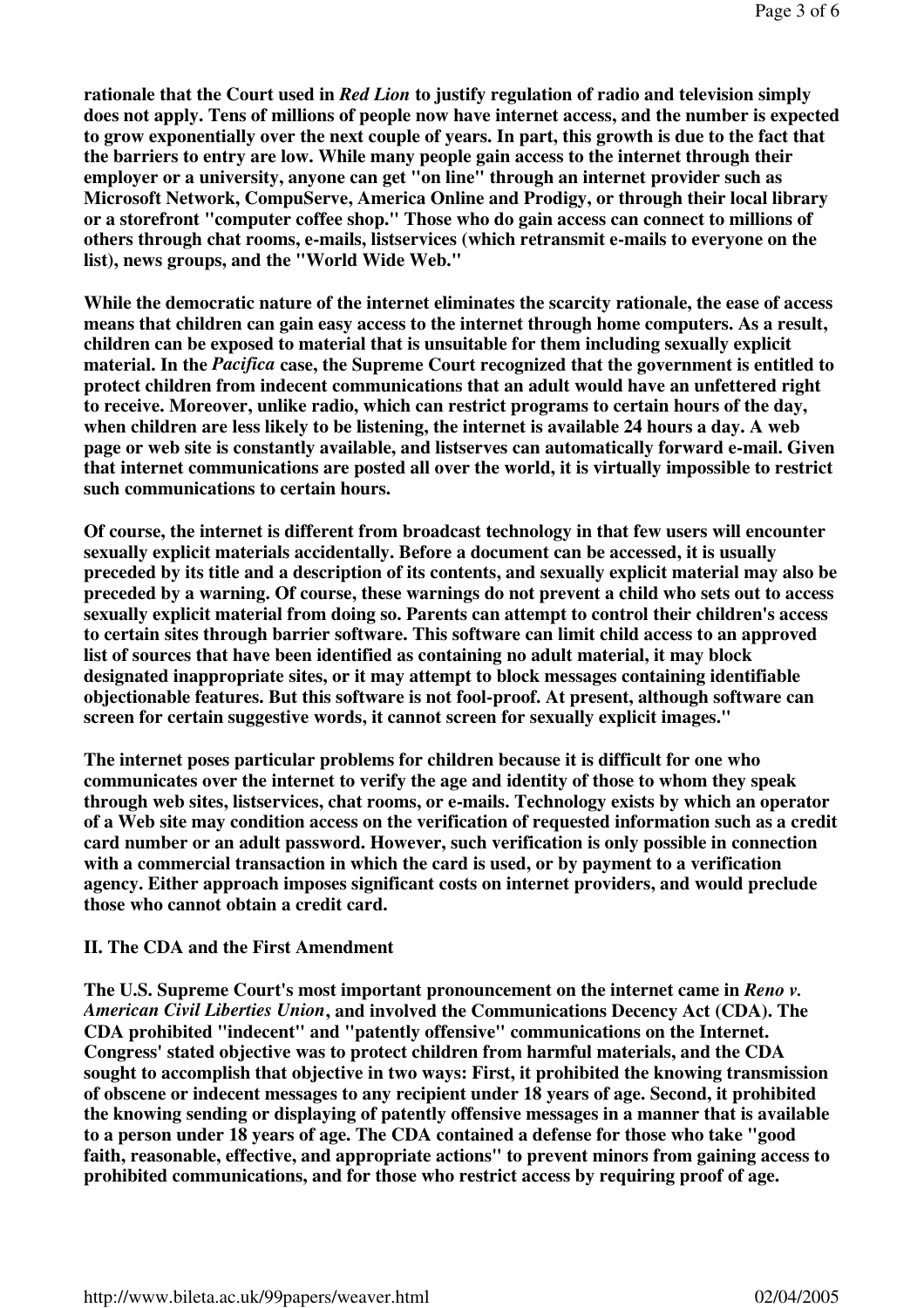**rationale that the Court used in** *Red Lion* **to justify regulation of radio and television simply does not apply. Tens of millions of people now have internet access, and the number is expected to grow exponentially over the next couple of years. In part, this growth is due to the fact that the barriers to entry are low. While many people gain access to the internet through their employer or a university, anyone can get "on line" through an internet provider such as Microsoft Network, CompuServe, America Online and Prodigy, or through their local library or a storefront "computer coffee shop." Those who do gain access can connect to millions of others through chat rooms, e-mails, listservices (which retransmit e-mails to everyone on the list), news groups, and the "World Wide Web."**

**While the democratic nature of the internet eliminates the scarcity rationale, the ease of access means that children can gain easy access to the internet through home computers. As a result, children can be exposed to material that is unsuitable for them including sexually explicit material. In the** *Pacifica* **case, the Supreme Court recognized that the government is entitled to protect children from indecent communications that an adult would have an unfettered right to receive. Moreover, unlike radio, which can restrict programs to certain hours of the day, when children are less likely to be listening, the internet is available 24 hours a day. A web page or web site is constantly available, and listserves can automatically forward e-mail. Given that internet communications are posted all over the world, it is virtually impossible to restrict such communications to certain hours.**

**Of course, the internet is different from broadcast technology in that few users will encounter sexually explicit materials accidentally. Before a document can be accessed, it is usually preceded by its title and a description of its contents, and sexually explicit material may also be preceded by a warning. Of course, these warnings do not prevent a child who sets out to access sexually explicit material from doing so. Parents can attempt to control their children's access to certain sites through barrier software. This software can limit child access to an approved list of sources that have been identified as containing no adult material, it may block designated inappropriate sites, or it may attempt to block messages containing identifiable objectionable features. But this software is not fool-proof. At present, although software can screen for certain suggestive words, it cannot screen for sexually explicit images."**

**The internet poses particular problems for children because it is difficult for one who communicates over the internet to verify the age and identity of those to whom they speak through web sites, listservices, chat rooms, or e-mails. Technology exists by which an operator of a Web site may condition access on the verification of requested information such as a credit card number or an adult password. However, such verification is only possible in connection with a commercial transaction in which the card is used, or by payment to a verification agency. Either approach imposes significant costs on internet providers, and would preclude those who cannot obtain a credit card.**

## **II. The CDA and the First Amendment**

**The U.S. Supreme Court's most important pronouncement on the internet came in** *Reno v. American Civil Liberties Union***, and involved the Communications Decency Act (CDA). The CDA prohibited "indecent" and "patently offensive" communications on the Internet. Congress' stated objective was to protect children from harmful materials, and the CDA sought to accomplish that objective in two ways: First, it prohibited the knowing transmission of obscene or indecent messages to any recipient under 18 years of age. Second, it prohibited the knowing sending or displaying of patently offensive messages in a manner that is available to a person under 18 years of age. The CDA contained a defense for those who take "good faith, reasonable, effective, and appropriate actions" to prevent minors from gaining access to prohibited communications, and for those who restrict access by requiring proof of age.**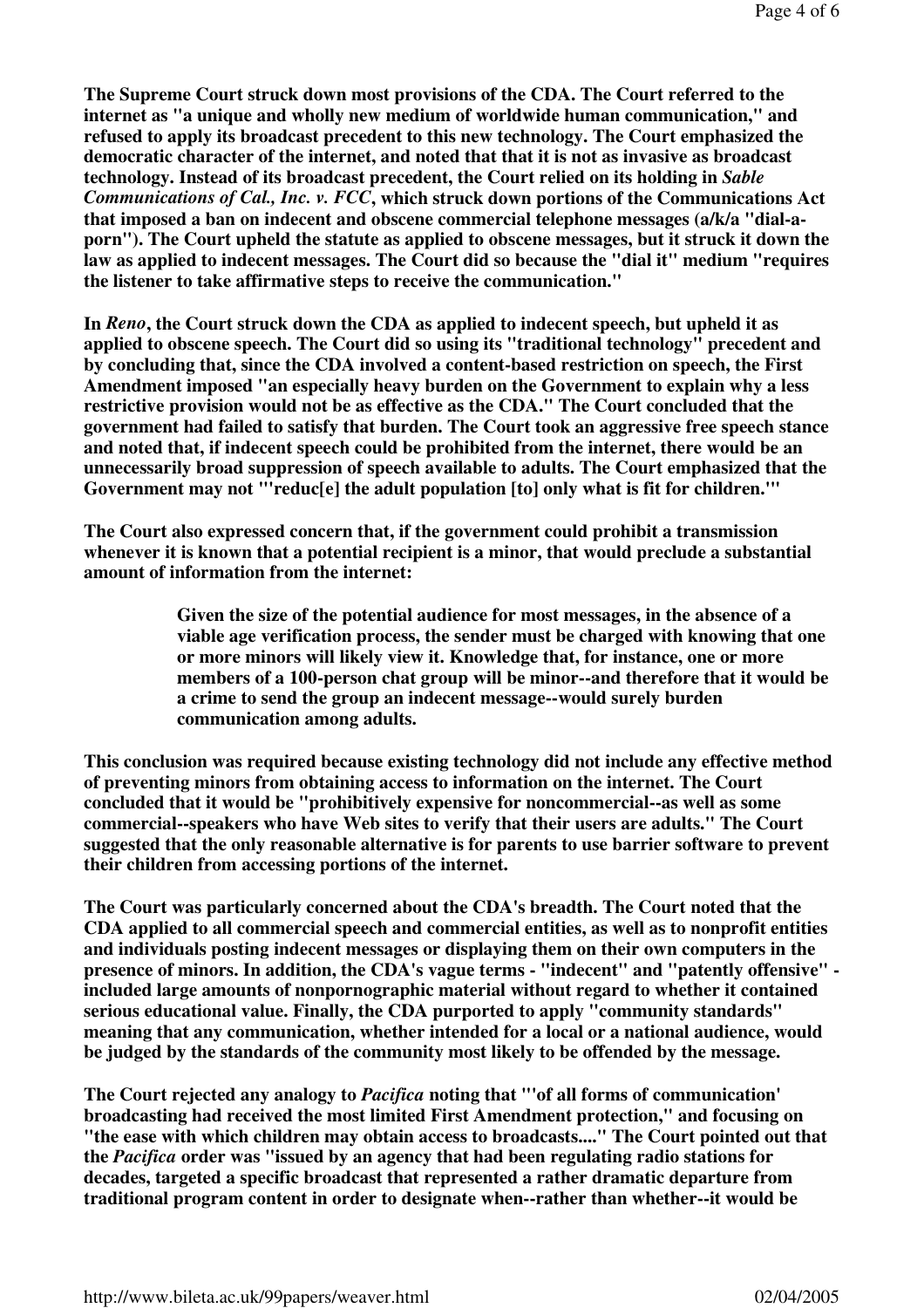**The Supreme Court struck down most provisions of the CDA. The Court referred to the internet as "a unique and wholly new medium of worldwide human communication," and refused to apply its broadcast precedent to this new technology. The Court emphasized the democratic character of the internet, and noted that that it is not as invasive as broadcast technology. Instead of its broadcast precedent, the Court relied on its holding in** *Sable Communications of Cal., Inc. v. FCC***, which struck down portions of the Communications Act that imposed a ban on indecent and obscene commercial telephone messages (a/k/a "dial-aporn"). The Court upheld the statute as applied to obscene messages, but it struck it down the law as applied to indecent messages. The Court did so because the "dial it" medium "requires the listener to take affirmative steps to receive the communication."**

**In** *Reno***, the Court struck down the CDA as applied to indecent speech, but upheld it as applied to obscene speech. The Court did so using its "traditional technology" precedent and by concluding that, since the CDA involved a content-based restriction on speech, the First Amendment imposed "an especially heavy burden on the Government to explain why a less restrictive provision would not be as effective as the CDA." The Court concluded that the government had failed to satisfy that burden. The Court took an aggressive free speech stance and noted that, if indecent speech could be prohibited from the internet, there would be an unnecessarily broad suppression of speech available to adults. The Court emphasized that the Government may not "'reduc[e] the adult population [to] only what is fit for children.'"**

**The Court also expressed concern that, if the government could prohibit a transmission whenever it is known that a potential recipient is a minor, that would preclude a substantial amount of information from the internet:**

> **Given the size of the potential audience for most messages, in the absence of a viable age verification process, the sender must be charged with knowing that one or more minors will likely view it. Knowledge that, for instance, one or more members of a 100-person chat group will be minor--and therefore that it would be a crime to send the group an indecent message--would surely burden communication among adults.**

**This conclusion was required because existing technology did not include any effective method of preventing minors from obtaining access to information on the internet. The Court concluded that it would be "prohibitively expensive for noncommercial--as well as some commercial--speakers who have Web sites to verify that their users are adults." The Court suggested that the only reasonable alternative is for parents to use barrier software to prevent their children from accessing portions of the internet.**

**The Court was particularly concerned about the CDA's breadth. The Court noted that the CDA applied to all commercial speech and commercial entities, as well as to nonprofit entities and individuals posting indecent messages or displaying them on their own computers in the presence of minors. In addition, the CDA's vague terms - "indecent" and "patently offensive" included large amounts of nonpornographic material without regard to whether it contained serious educational value. Finally, the CDA purported to apply "community standards" meaning that any communication, whether intended for a local or a national audience, would be judged by the standards of the community most likely to be offended by the message.**

**The Court rejected any analogy to** *Pacifica* **noting that "'of all forms of communication' broadcasting had received the most limited First Amendment protection," and focusing on "the ease with which children may obtain access to broadcasts...." The Court pointed out that the** *Pacifica* **order was "issued by an agency that had been regulating radio stations for decades, targeted a specific broadcast that represented a rather dramatic departure from traditional program content in order to designate when--rather than whether--it would be**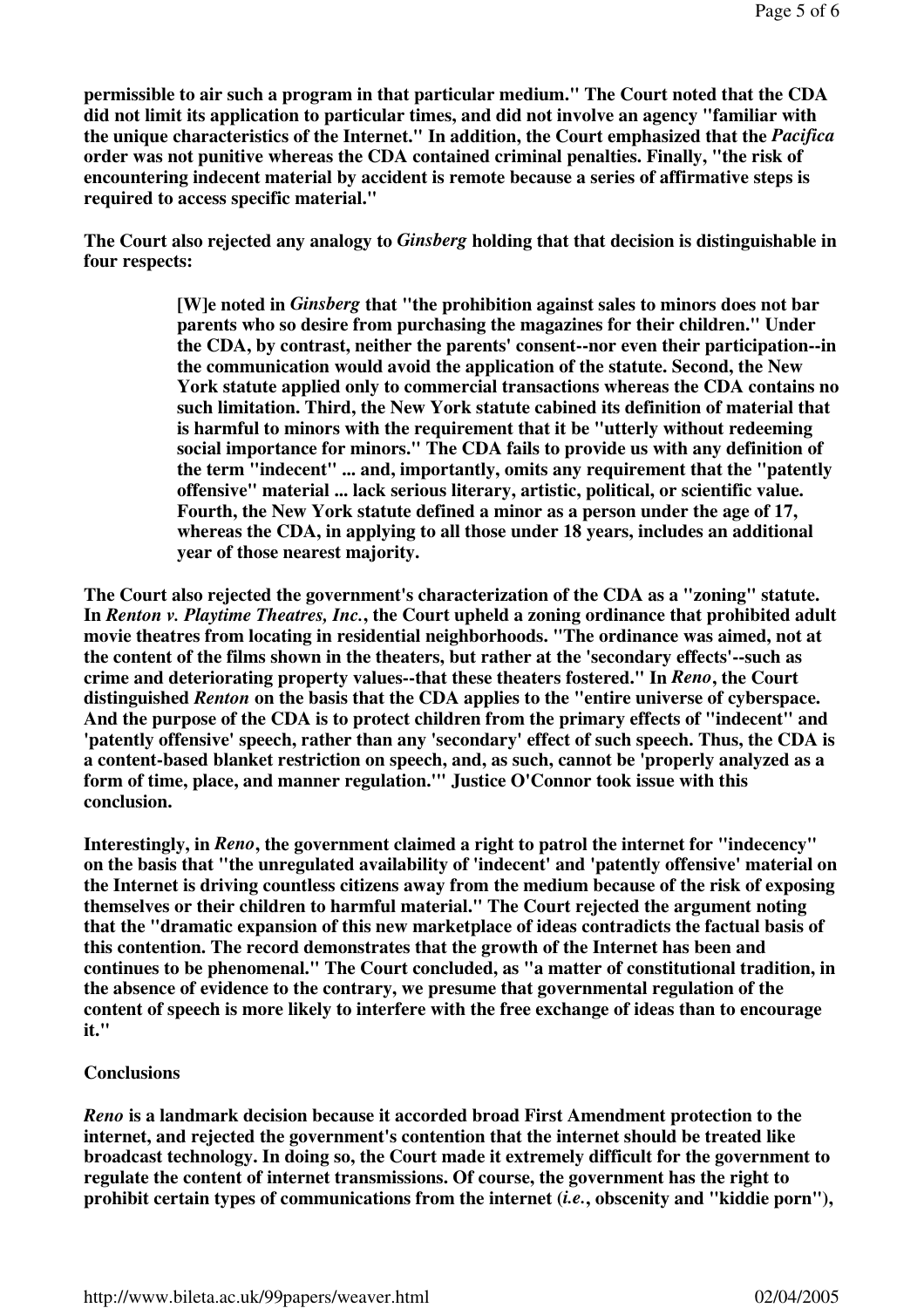**permissible to air such a program in that particular medium." The Court noted that the CDA did not limit its application to particular times, and did not involve an agency "familiar with the unique characteristics of the Internet." In addition, the Court emphasized that the** *Pacifica* **order was not punitive whereas the CDA contained criminal penalties. Finally, "the risk of encountering indecent material by accident is remote because a series of affirmative steps is required to access specific material."**

**The Court also rejected any analogy to** *Ginsberg* **holding that that decision is distinguishable in four respects:**

> **[W]e noted in** *Ginsberg* **that "the prohibition against sales to minors does not bar parents who so desire from purchasing the magazines for their children." Under the CDA, by contrast, neither the parents' consent--nor even their participation--in the communication would avoid the application of the statute. Second, the New York statute applied only to commercial transactions whereas the CDA contains no such limitation. Third, the New York statute cabined its definition of material that is harmful to minors with the requirement that it be "utterly without redeeming social importance for minors." The CDA fails to provide us with any definition of the term "indecent" ... and, importantly, omits any requirement that the "patently offensive" material ... lack serious literary, artistic, political, or scientific value. Fourth, the New York statute defined a minor as a person under the age of 17, whereas the CDA, in applying to all those under 18 years, includes an additional year of those nearest majority.**

**The Court also rejected the government's characterization of the CDA as a "zoning" statute. In** *Renton v. Playtime Theatres, Inc.***, the Court upheld a zoning ordinance that prohibited adult movie theatres from locating in residential neighborhoods. "The ordinance was aimed, not at the content of the films shown in the theaters, but rather at the 'secondary effects'--such as crime and deteriorating property values--that these theaters fostered." In** *Reno***, the Court distinguished** *Renton* **on the basis that the CDA applies to the "entire universe of cyberspace. And the purpose of the CDA is to protect children from the primary effects of "indecent" and 'patently offensive' speech, rather than any 'secondary' effect of such speech. Thus, the CDA is a content-based blanket restriction on speech, and, as such, cannot be 'properly analyzed as a form of time, place, and manner regulation.'" Justice O'Connor took issue with this conclusion.**

**Interestingly, in** *Reno***, the government claimed a right to patrol the internet for "indecency" on the basis that "the unregulated availability of 'indecent' and 'patently offensive' material on the Internet is driving countless citizens away from the medium because of the risk of exposing themselves or their children to harmful material." The Court rejected the argument noting that the "dramatic expansion of this new marketplace of ideas contradicts the factual basis of this contention. The record demonstrates that the growth of the Internet has been and continues to be phenomenal." The Court concluded, as "a matter of constitutional tradition, in the absence of evidence to the contrary, we presume that governmental regulation of the content of speech is more likely to interfere with the free exchange of ideas than to encourage it."**

## **Conclusions**

*Reno* **is a landmark decision because it accorded broad First Amendment protection to the internet, and rejected the government's contention that the internet should be treated like broadcast technology. In doing so, the Court made it extremely difficult for the government to regulate the content of internet transmissions. Of course, the government has the right to prohibit certain types of communications from the internet (***i.e.***, obscenity and "kiddie porn"),**